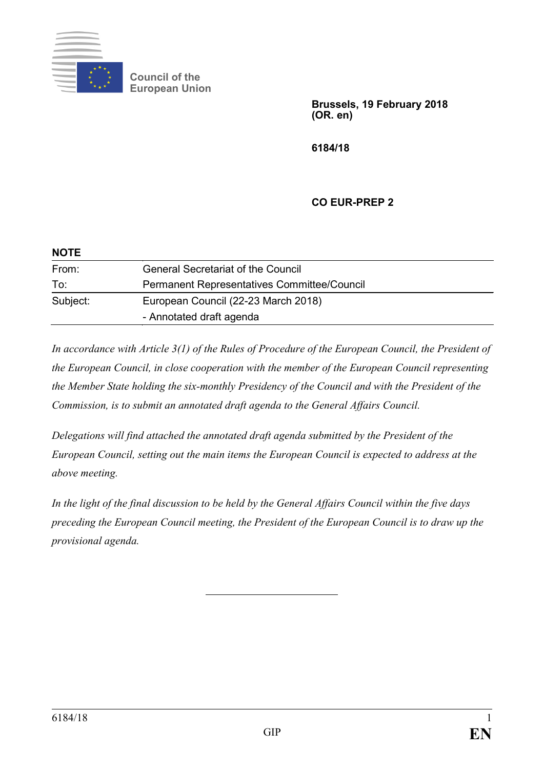

**Council of the European Union**

> **Brussels, 19 February 2018 (OR. en)**

**6184/18**

## **CO EUR-PREP 2**

| <b>NOTE</b> |                                             |
|-------------|---------------------------------------------|
| From:       | <b>General Secretariat of the Council</b>   |
| To:         | Permanent Representatives Committee/Council |
| Subject:    | European Council (22-23 March 2018)         |
|             | - Annotated draft agenda                    |

*In accordance with Article 3(1) of the Rules of Procedure of the European Council, the President of the European Council, in close cooperation with the member of the European Council representing the Member State holding the six-monthly Presidency of the Council and with the President of the Commission, is to submit an annotated draft agenda to the General Affairs Council.*

*Delegations will find attached the annotated draft agenda submitted by the President of the European Council, setting out the main items the European Council is expected to address at the above meeting.*

*In the light of the final discussion to be held by the General Affairs Council within the five days preceding the European Council meeting, the President of the European Council is to draw up the provisional agenda.*